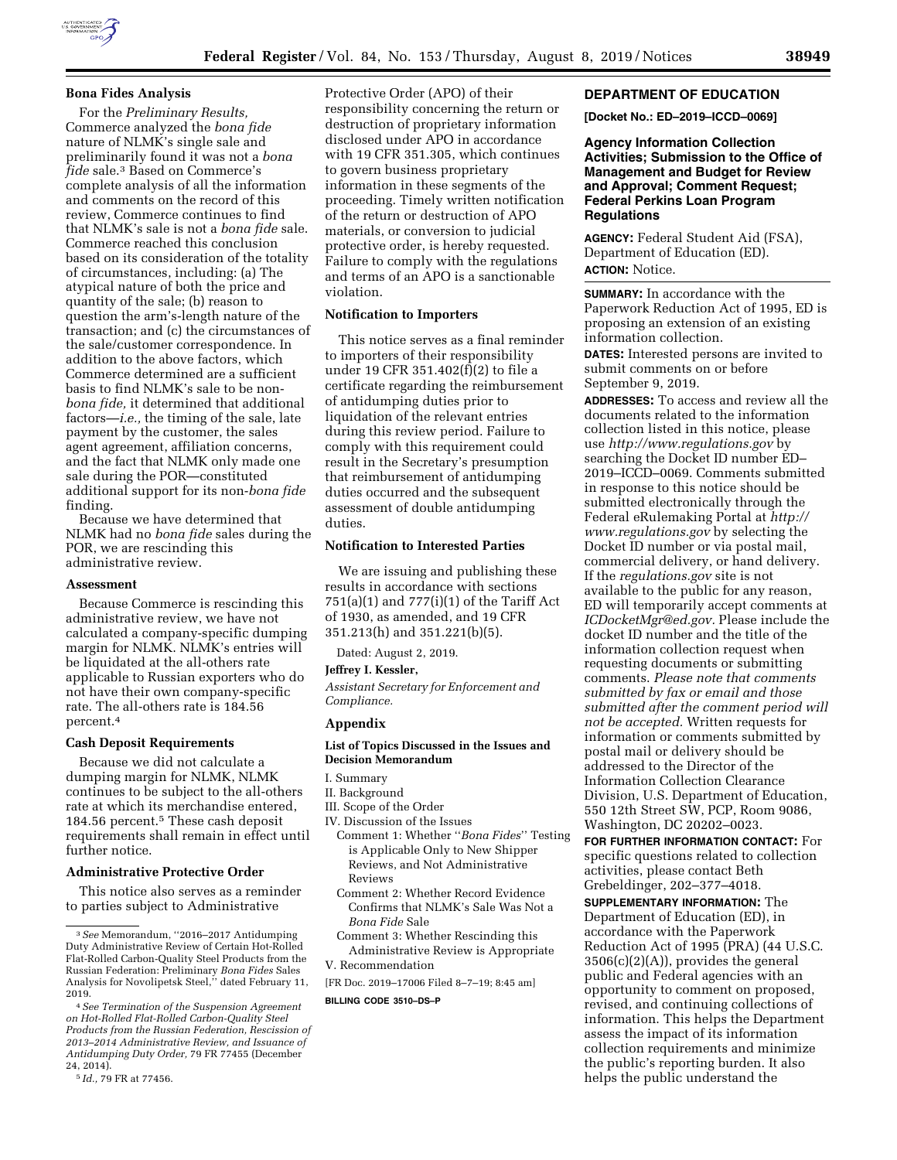

## **Bona Fides Analysis**

For the *Preliminary Results,*  Commerce analyzed the *bona fide*  nature of NLMK's single sale and preliminarily found it was not a *bona fide* sale.3 Based on Commerce's complete analysis of all the information and comments on the record of this review, Commerce continues to find that NLMK's sale is not a *bona fide* sale. Commerce reached this conclusion based on its consideration of the totality of circumstances, including: (a) The atypical nature of both the price and quantity of the sale; (b) reason to question the arm's-length nature of the transaction; and (c) the circumstances of the sale/customer correspondence. In addition to the above factors, which Commerce determined are a sufficient basis to find NLMK's sale to be non*bona fide,* it determined that additional factors—*i.e.,* the timing of the sale, late payment by the customer, the sales agent agreement, affiliation concerns, and the fact that NLMK only made one sale during the POR—constituted additional support for its non-*bona fide*  finding.

Because we have determined that NLMK had no *bona fide* sales during the POR, we are rescinding this administrative review.

## **Assessment**

Because Commerce is rescinding this administrative review, we have not calculated a company-specific dumping margin for NLMK. NLMK's entries will be liquidated at the all-others rate applicable to Russian exporters who do not have their own company-specific rate. The all-others rate is 184.56 percent.4

#### **Cash Deposit Requirements**

Because we did not calculate a dumping margin for NLMK, NLMK continues to be subject to the all-others rate at which its merchandise entered, 184.56 percent.<sup>5</sup> These cash deposit requirements shall remain in effect until further notice.

## **Administrative Protective Order**

This notice also serves as a reminder to parties subject to Administrative

```
5 Id., 79 FR at 77456.
```
Protective Order (APO) of their responsibility concerning the return or destruction of proprietary information disclosed under APO in accordance with 19 CFR 351.305, which continues to govern business proprietary information in these segments of the proceeding. Timely written notification of the return or destruction of APO materials, or conversion to judicial protective order, is hereby requested. Failure to comply with the regulations and terms of an APO is a sanctionable violation.

## **Notification to Importers**

This notice serves as a final reminder to importers of their responsibility under 19 CFR 351.402(f)(2) to file a certificate regarding the reimbursement of antidumping duties prior to liquidation of the relevant entries during this review period. Failure to comply with this requirement could result in the Secretary's presumption that reimbursement of antidumping duties occurred and the subsequent assessment of double antidumping duties.

# **Notification to Interested Parties**

We are issuing and publishing these results in accordance with sections  $751(a)(1)$  and  $777(i)(1)$  of the Tariff Act of 1930, as amended, and 19 CFR 351.213(h) and 351.221(b)(5).

Dated: August 2, 2019.

**Jeffrey I. Kessler,** 

*Assistant Secretary for Enforcement and Compliance.* 

## **Appendix**

### **List of Topics Discussed in the Issues and Decision Memorandum**

- I. Summary
- II. Background
- III. Scope of the Order
- IV. Discussion of the Issues
- Comment 1: Whether ''*Bona Fides*'' Testing is Applicable Only to New Shipper Reviews, and Not Administrative Reviews
- Comment 2: Whether Record Evidence Confirms that NLMK's Sale Was Not a *Bona Fide* Sale
- Comment 3: Whether Rescinding this Administrative Review is Appropriate V. Recommendation
- [FR Doc. 2019–17006 Filed 8–7–19; 8:45 am]

#### **BILLING CODE 3510–DS–P**

**DEPARTMENT OF EDUCATION** 

**[Docket No.: ED–2019–ICCD–0069]** 

**Agency Information Collection Activities; Submission to the Office of Management and Budget for Review and Approval; Comment Request; Federal Perkins Loan Program Regulations** 

**AGENCY:** Federal Student Aid (FSA), Department of Education (ED). **ACTION:** Notice.

**SUMMARY:** In accordance with the Paperwork Reduction Act of 1995, ED is proposing an extension of an existing information collection.

**DATES:** Interested persons are invited to submit comments on or before September 9, 2019.

**ADDRESSES:** To access and review all the documents related to the information collection listed in this notice, please use *<http://www.regulations.gov>*by searching the Docket ID number ED– 2019–ICCD–0069. Comments submitted in response to this notice should be submitted electronically through the Federal eRulemaking Portal at *[http://](http://www.regulations.gov) [www.regulations.gov](http://www.regulations.gov)* by selecting the Docket ID number or via postal mail, commercial delivery, or hand delivery. If the *regulations.gov* site is not available to the public for any reason, ED will temporarily accept comments at *[ICDocketMgr@ed.gov.](mailto:ICDocketMgr@ed.gov)* Please include the docket ID number and the title of the information collection request when requesting documents or submitting comments. *Please note that comments submitted by fax or email and those submitted after the comment period will not be accepted.* Written requests for information or comments submitted by postal mail or delivery should be addressed to the Director of the Information Collection Clearance Division, U.S. Department of Education, 550 12th Street SW, PCP, Room 9086, Washington, DC 20202–0023.

**FOR FURTHER INFORMATION CONTACT:** For specific questions related to collection activities, please contact Beth Grebeldinger, 202–377–4018.

**SUPPLEMENTARY INFORMATION:** The Department of Education (ED), in accordance with the Paperwork Reduction Act of 1995 (PRA) (44 U.S.C. 3506(c)(2)(A)), provides the general public and Federal agencies with an opportunity to comment on proposed, revised, and continuing collections of information. This helps the Department assess the impact of its information collection requirements and minimize the public's reporting burden. It also helps the public understand the

<sup>3</sup>*See* Memorandum, ''2016–2017 Antidumping Duty Administrative Review of Certain Hot-Rolled Flat-Rolled Carbon-Quality Steel Products from the Russian Federation: Preliminary *Bona Fides* Sales Analysis for Novolipetsk Steel,'' dated February 11, 2019.

<sup>4</sup>*See Termination of the Suspension Agreement on Hot-Rolled Flat-Rolled Carbon-Quality Steel Products from the Russian Federation, Rescission of 2013–2014 Administrative Review, and Issuance of Antidumping Duty Order,* 79 FR 77455 (December 24, 2014).